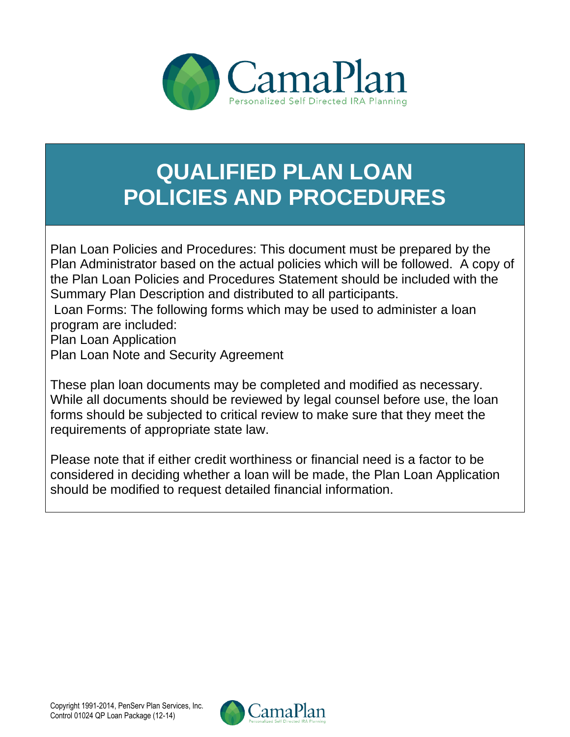

## **QUALIFIED PLAN LOAN POLICIES AND PROCEDURES**

• Plan Loan Policies and Procedures: This document must be prepared by the Plan Administrator based on the actual policies which will be followed. A copy of the Plan Loan Policies and Procedures Statement should be included with the Summary Plan Description and distributed to all participants.

• Loan Forms: The following forms which may be used to administer a loan program are included:

Plan Loan Application

Plan Loan Note and Security Agreement

These plan loan documents may be completed and modified as necessary. While all documents should be reviewed by legal counsel before use, the loan forms should be subjected to critical review to make sure that they meet the requirements of appropriate state law.

Please note that if either credit worthiness or financial need is a factor to be considered in deciding whether a loan will be made, the Plan Loan Application should be modified to request detailed financial information.

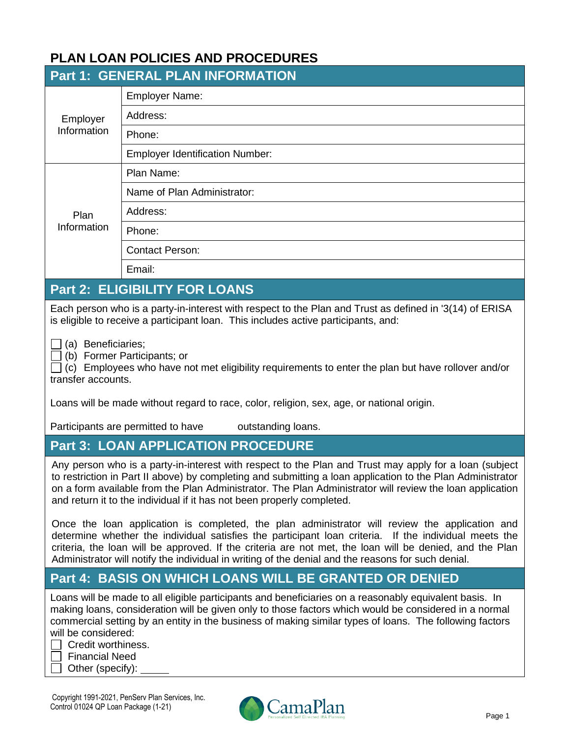| Employer<br>Information                  | <b>Part 1: GENERAL PLAN INFORMATION</b><br><b>Employer Name:</b><br>Address:<br>Phone:                                                                                                                                                                                                                                                                                                                                                                                                                                                                                                                                                                                                                                                                                                                                                                                                            |
|------------------------------------------|---------------------------------------------------------------------------------------------------------------------------------------------------------------------------------------------------------------------------------------------------------------------------------------------------------------------------------------------------------------------------------------------------------------------------------------------------------------------------------------------------------------------------------------------------------------------------------------------------------------------------------------------------------------------------------------------------------------------------------------------------------------------------------------------------------------------------------------------------------------------------------------------------|
|                                          |                                                                                                                                                                                                                                                                                                                                                                                                                                                                                                                                                                                                                                                                                                                                                                                                                                                                                                   |
|                                          |                                                                                                                                                                                                                                                                                                                                                                                                                                                                                                                                                                                                                                                                                                                                                                                                                                                                                                   |
|                                          |                                                                                                                                                                                                                                                                                                                                                                                                                                                                                                                                                                                                                                                                                                                                                                                                                                                                                                   |
|                                          |                                                                                                                                                                                                                                                                                                                                                                                                                                                                                                                                                                                                                                                                                                                                                                                                                                                                                                   |
|                                          | <b>Employer Identification Number:</b>                                                                                                                                                                                                                                                                                                                                                                                                                                                                                                                                                                                                                                                                                                                                                                                                                                                            |
|                                          | Plan Name:                                                                                                                                                                                                                                                                                                                                                                                                                                                                                                                                                                                                                                                                                                                                                                                                                                                                                        |
|                                          | Name of Plan Administrator:                                                                                                                                                                                                                                                                                                                                                                                                                                                                                                                                                                                                                                                                                                                                                                                                                                                                       |
| Plan                                     | Address:                                                                                                                                                                                                                                                                                                                                                                                                                                                                                                                                                                                                                                                                                                                                                                                                                                                                                          |
| Information                              | Phone:                                                                                                                                                                                                                                                                                                                                                                                                                                                                                                                                                                                                                                                                                                                                                                                                                                                                                            |
|                                          | <b>Contact Person:</b>                                                                                                                                                                                                                                                                                                                                                                                                                                                                                                                                                                                                                                                                                                                                                                                                                                                                            |
|                                          | Email:                                                                                                                                                                                                                                                                                                                                                                                                                                                                                                                                                                                                                                                                                                                                                                                                                                                                                            |
|                                          | <b>Part 2: ELIGIBILITY FOR LOANS</b>                                                                                                                                                                                                                                                                                                                                                                                                                                                                                                                                                                                                                                                                                                                                                                                                                                                              |
| (a) Beneficiaries;<br>transfer accounts. | Each person who is a party-in-interest with respect to the Plan and Trust as defined in '3(14) of ERISA<br>is eligible to receive a participant loan. This includes active participants, and:<br>(b) Former Participants; or<br>(c) Employees who have not met eligibility requirements to enter the plan but have rollover and/or<br>Loans will be made without regard to race, color, religion, sex, age, or national origin.<br>Participants are permitted to have outstanding loans.<br><b>Part 3: LOAN APPLICATION PROCEDURE</b><br>Any person who is a party-in-interest with respect to the Plan and Trust may apply for a loan (subject<br>to restriction in Part II above) by completing and submitting a loan application to the Plan Administrator<br>on a form available from the Plan Administrator. The Plan Administrator will review the loan application                         |
|                                          | and return it to the individual if it has not been properly completed.<br>Once the loan application is completed, the plan administrator will review the application and<br>determine whether the individual satisfies the participant loan criteria. If the individual meets the<br>criteria, the loan will be approved. If the criteria are not met, the loan will be denied, and the Plan<br>Administrator will notify the individual in writing of the denial and the reasons for such denial.<br><b>Part 4: BASIS ON WHICH LOANS WILL BE GRANTED OR DENIED</b><br>Loans will be made to all eligible participants and beneficiaries on a reasonably equivalent basis. In<br>making loans, consideration will be given only to those factors which would be considered in a normal<br>commercial setting by an entity in the business of making similar types of loans. The following factors |

| . . | <u>oroan wormmoc</u>    |
|-----|-------------------------|
|     | Financial Need          |
|     | $\Box$ Other (specify): |

Copyright 1991-2021, PenServ Plan Services, Inc. Control 01024 QP Loan Package (1-21)

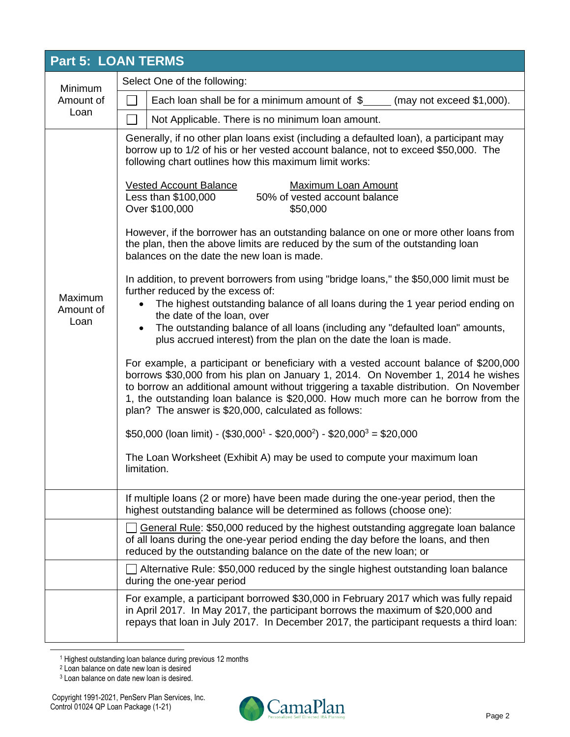| <b>Part 5: LOAN TERMS</b>    |                                                                                                                                                                                                                                                                                                                                                                                                                |  |  |  |  |
|------------------------------|----------------------------------------------------------------------------------------------------------------------------------------------------------------------------------------------------------------------------------------------------------------------------------------------------------------------------------------------------------------------------------------------------------------|--|--|--|--|
| Minimum                      | Select One of the following:                                                                                                                                                                                                                                                                                                                                                                                   |  |  |  |  |
| Amount of                    | Each loan shall be for a minimum amount of $\$ (may not exceed \$1,000).                                                                                                                                                                                                                                                                                                                                       |  |  |  |  |
| Loan                         | Not Applicable. There is no minimum loan amount.                                                                                                                                                                                                                                                                                                                                                               |  |  |  |  |
|                              | Generally, if no other plan loans exist (including a defaulted loan), a participant may<br>borrow up to 1/2 of his or her vested account balance, not to exceed \$50,000. The<br>following chart outlines how this maximum limit works:<br><b>Vested Account Balance</b><br><b>Maximum Loan Amount</b>                                                                                                         |  |  |  |  |
|                              | Less than \$100,000<br>50% of vested account balance<br>Over \$100,000<br>\$50,000                                                                                                                                                                                                                                                                                                                             |  |  |  |  |
|                              | However, if the borrower has an outstanding balance on one or more other loans from<br>the plan, then the above limits are reduced by the sum of the outstanding loan<br>balances on the date the new loan is made.                                                                                                                                                                                            |  |  |  |  |
| Maximum<br>Amount of<br>Loan | In addition, to prevent borrowers from using "bridge loans," the \$50,000 limit must be<br>further reduced by the excess of:<br>The highest outstanding balance of all loans during the 1 year period ending on<br>the date of the loan, over                                                                                                                                                                  |  |  |  |  |
|                              | The outstanding balance of all loans (including any "defaulted loan" amounts,<br>plus accrued interest) from the plan on the date the loan is made.                                                                                                                                                                                                                                                            |  |  |  |  |
|                              | For example, a participant or beneficiary with a vested account balance of \$200,000<br>borrows \$30,000 from his plan on January 1, 2014. On November 1, 2014 he wishes<br>to borrow an additional amount without triggering a taxable distribution. On November<br>1, the outstanding loan balance is \$20,000. How much more can he borrow from the<br>plan? The answer is \$20,000, calculated as follows: |  |  |  |  |
|                              | $$50,000$ (loan limit) - (\$30,000 <sup>1</sup> - \$20,000 <sup>2</sup> ) - \$20,000 <sup>3</sup> = \$20,000                                                                                                                                                                                                                                                                                                   |  |  |  |  |
|                              | The Loan Worksheet (Exhibit A) may be used to compute your maximum loan<br>limitation.                                                                                                                                                                                                                                                                                                                         |  |  |  |  |
|                              | If multiple loans (2 or more) have been made during the one-year period, then the<br>highest outstanding balance will be determined as follows (choose one):                                                                                                                                                                                                                                                   |  |  |  |  |
|                              | General Rule: \$50,000 reduced by the highest outstanding aggregate loan balance<br>of all loans during the one-year period ending the day before the loans, and then<br>reduced by the outstanding balance on the date of the new loan; or                                                                                                                                                                    |  |  |  |  |
|                              | Alternative Rule: \$50,000 reduced by the single highest outstanding loan balance<br>during the one-year period                                                                                                                                                                                                                                                                                                |  |  |  |  |
|                              | For example, a participant borrowed \$30,000 in February 2017 which was fully repaid<br>in April 2017. In May 2017, the participant borrows the maximum of \$20,000 and<br>repays that loan in July 2017. In December 2017, the participant requests a third loan:                                                                                                                                             |  |  |  |  |

<sup>&</sup>lt;sup>1</sup> Highest outstanding loan balance during previous 12 months



<sup>2</sup> Loan balance on date new loan is desired

<sup>&</sup>lt;sup>3</sup> Loan balance on date new loan is desired.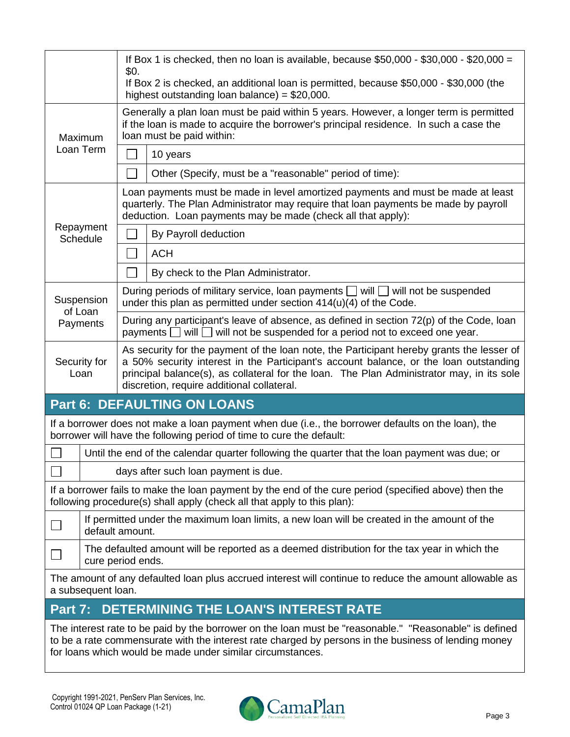|                                                                    | If Box 1 is checked, then no loan is available, because $$50,000$ - $$30,000$ - $$20,000 =$<br>\$0.                                       |                                                                                                                                                                                                                                                                                 |                                                                                                                                                                                                                                                                              |  |
|--------------------------------------------------------------------|-------------------------------------------------------------------------------------------------------------------------------------------|---------------------------------------------------------------------------------------------------------------------------------------------------------------------------------------------------------------------------------------------------------------------------------|------------------------------------------------------------------------------------------------------------------------------------------------------------------------------------------------------------------------------------------------------------------------------|--|
|                                                                    | If Box 2 is checked, an additional loan is permitted, because \$50,000 - \$30,000 (the<br>highest outstanding loan balance) = $$20,000$ . |                                                                                                                                                                                                                                                                                 |                                                                                                                                                                                                                                                                              |  |
| Maximum<br>Loan Term                                               |                                                                                                                                           |                                                                                                                                                                                                                                                                                 | Generally a plan loan must be paid within 5 years. However, a longer term is permitted<br>if the loan is made to acquire the borrower's principal residence. In such a case the<br>loan must be paid within:                                                                 |  |
|                                                                    |                                                                                                                                           |                                                                                                                                                                                                                                                                                 | 10 years                                                                                                                                                                                                                                                                     |  |
|                                                                    |                                                                                                                                           |                                                                                                                                                                                                                                                                                 | Other (Specify, must be a "reasonable" period of time):                                                                                                                                                                                                                      |  |
|                                                                    |                                                                                                                                           |                                                                                                                                                                                                                                                                                 | Loan payments must be made in level amortized payments and must be made at least<br>quarterly. The Plan Administrator may require that loan payments be made by payroll<br>deduction. Loan payments may be made (check all that apply):                                      |  |
| Repayment<br>Schedule                                              |                                                                                                                                           |                                                                                                                                                                                                                                                                                 | By Payroll deduction                                                                                                                                                                                                                                                         |  |
|                                                                    |                                                                                                                                           | $\blacksquare$                                                                                                                                                                                                                                                                  | <b>ACH</b>                                                                                                                                                                                                                                                                   |  |
|                                                                    |                                                                                                                                           |                                                                                                                                                                                                                                                                                 | By check to the Plan Administrator.                                                                                                                                                                                                                                          |  |
| Suspension                                                         |                                                                                                                                           |                                                                                                                                                                                                                                                                                 | During periods of military service, loan payments $\Box$ will $\Box$ will not be suspended<br>under this plan as permitted under section $414(u)(4)$ of the Code.                                                                                                            |  |
| of Loan<br>Payments                                                |                                                                                                                                           |                                                                                                                                                                                                                                                                                 | During any participant's leave of absence, as defined in section 72(p) of the Code, loan<br>payments $\Box$ will $\Box$ will not be suspended for a period not to exceed one year.                                                                                           |  |
| Security for<br>Loan<br>discretion, require additional collateral. |                                                                                                                                           | As security for the payment of the loan note, the Participant hereby grants the lesser of<br>a 50% security interest in the Participant's account balance, or the loan outstanding<br>principal balance(s), as collateral for the loan. The Plan Administrator may, in its sole |                                                                                                                                                                                                                                                                              |  |
|                                                                    |                                                                                                                                           |                                                                                                                                                                                                                                                                                 | <b>Part 6: DEFAULTING ON LOANS</b>                                                                                                                                                                                                                                           |  |
|                                                                    |                                                                                                                                           |                                                                                                                                                                                                                                                                                 | If a borrower does not make a loan payment when due (i.e., the borrower defaults on the loan), the<br>borrower will have the following period of time to cure the default:                                                                                                   |  |
|                                                                    |                                                                                                                                           |                                                                                                                                                                                                                                                                                 | Until the end of the calendar quarter following the quarter that the loan payment was due; or                                                                                                                                                                                |  |
|                                                                    |                                                                                                                                           |                                                                                                                                                                                                                                                                                 | days after such loan payment is due.                                                                                                                                                                                                                                         |  |
|                                                                    |                                                                                                                                           |                                                                                                                                                                                                                                                                                 | If a borrower fails to make the loan payment by the end of the cure period (specified above) then the<br>following procedure(s) shall apply (check all that apply to this plan):                                                                                             |  |
|                                                                    | default amount.                                                                                                                           |                                                                                                                                                                                                                                                                                 | If permitted under the maximum loan limits, a new loan will be created in the amount of the                                                                                                                                                                                  |  |
|                                                                    | The defaulted amount will be reported as a deemed distribution for the tax year in which the<br>cure period ends.                         |                                                                                                                                                                                                                                                                                 |                                                                                                                                                                                                                                                                              |  |
|                                                                    | a subsequent loan.                                                                                                                        |                                                                                                                                                                                                                                                                                 | The amount of any defaulted loan plus accrued interest will continue to reduce the amount allowable as                                                                                                                                                                       |  |
| Part 7:                                                            |                                                                                                                                           |                                                                                                                                                                                                                                                                                 | <b>DETERMINING THE LOAN'S INTEREST RATE</b>                                                                                                                                                                                                                                  |  |
|                                                                    |                                                                                                                                           |                                                                                                                                                                                                                                                                                 | The interest rate to be paid by the borrower on the loan must be "reasonable." "Reasonable" is defined<br>to be a rate commensurate with the interest rate charged by persons in the business of lending money<br>for loans which would be made under similar circumstances. |  |

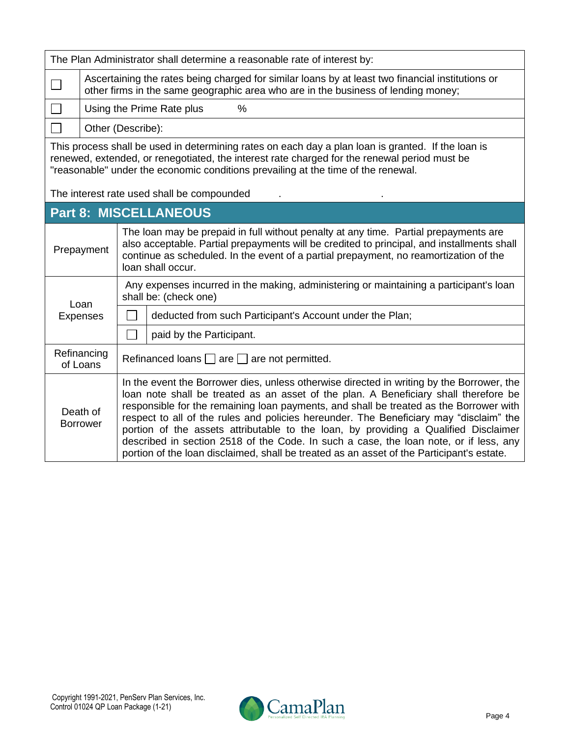| The Plan Administrator shall determine a reasonable rate of interest by:                                                                                                                                                                                                                                                              |                                                                                                                                                                                                                                                                                                                                                                                                                                                                                                                                                                                                                                                                                   |                                                                                                                                                                                                                                                                                                  |                                                                                                                 |  |  |
|---------------------------------------------------------------------------------------------------------------------------------------------------------------------------------------------------------------------------------------------------------------------------------------------------------------------------------------|-----------------------------------------------------------------------------------------------------------------------------------------------------------------------------------------------------------------------------------------------------------------------------------------------------------------------------------------------------------------------------------------------------------------------------------------------------------------------------------------------------------------------------------------------------------------------------------------------------------------------------------------------------------------------------------|--------------------------------------------------------------------------------------------------------------------------------------------------------------------------------------------------------------------------------------------------------------------------------------------------|-----------------------------------------------------------------------------------------------------------------|--|--|
|                                                                                                                                                                                                                                                                                                                                       |                                                                                                                                                                                                                                                                                                                                                                                                                                                                                                                                                                                                                                                                                   | Ascertaining the rates being charged for similar loans by at least two financial institutions or<br>other firms in the same geographic area who are in the business of lending money;                                                                                                            |                                                                                                                 |  |  |
|                                                                                                                                                                                                                                                                                                                                       |                                                                                                                                                                                                                                                                                                                                                                                                                                                                                                                                                                                                                                                                                   | $\%$<br>Using the Prime Rate plus                                                                                                                                                                                                                                                                |                                                                                                                 |  |  |
|                                                                                                                                                                                                                                                                                                                                       |                                                                                                                                                                                                                                                                                                                                                                                                                                                                                                                                                                                                                                                                                   | Other (Describe):                                                                                                                                                                                                                                                                                |                                                                                                                 |  |  |
| This process shall be used in determining rates on each day a plan loan is granted. If the loan is<br>renewed, extended, or renegotiated, the interest rate charged for the renewal period must be<br>"reasonable" under the economic conditions prevailing at the time of the renewal.<br>The interest rate used shall be compounded |                                                                                                                                                                                                                                                                                                                                                                                                                                                                                                                                                                                                                                                                                   |                                                                                                                                                                                                                                                                                                  |                                                                                                                 |  |  |
|                                                                                                                                                                                                                                                                                                                                       |                                                                                                                                                                                                                                                                                                                                                                                                                                                                                                                                                                                                                                                                                   |                                                                                                                                                                                                                                                                                                  | <b>Part 8: MISCELLANEOUS</b>                                                                                    |  |  |
|                                                                                                                                                                                                                                                                                                                                       | Prepayment                                                                                                                                                                                                                                                                                                                                                                                                                                                                                                                                                                                                                                                                        | The loan may be prepaid in full without penalty at any time. Partial prepayments are<br>also acceptable. Partial prepayments will be credited to principal, and installments shall<br>continue as scheduled. In the event of a partial prepayment, no reamortization of the<br>loan shall occur. |                                                                                                                 |  |  |
|                                                                                                                                                                                                                                                                                                                                       | Loan                                                                                                                                                                                                                                                                                                                                                                                                                                                                                                                                                                                                                                                                              |                                                                                                                                                                                                                                                                                                  | Any expenses incurred in the making, administering or maintaining a participant's loan<br>shall be: (check one) |  |  |
|                                                                                                                                                                                                                                                                                                                                       | <b>Expenses</b>                                                                                                                                                                                                                                                                                                                                                                                                                                                                                                                                                                                                                                                                   |                                                                                                                                                                                                                                                                                                  | deducted from such Participant's Account under the Plan;                                                        |  |  |
|                                                                                                                                                                                                                                                                                                                                       |                                                                                                                                                                                                                                                                                                                                                                                                                                                                                                                                                                                                                                                                                   |                                                                                                                                                                                                                                                                                                  | paid by the Participant.                                                                                        |  |  |
|                                                                                                                                                                                                                                                                                                                                       | Refinancing<br>of Loans                                                                                                                                                                                                                                                                                                                                                                                                                                                                                                                                                                                                                                                           | Refinanced loans $\Box$ are $\Box$ are not permitted.                                                                                                                                                                                                                                            |                                                                                                                 |  |  |
|                                                                                                                                                                                                                                                                                                                                       | In the event the Borrower dies, unless otherwise directed in writing by the Borrower, the<br>loan note shall be treated as an asset of the plan. A Beneficiary shall therefore be<br>responsible for the remaining loan payments, and shall be treated as the Borrower with<br>Death of<br>respect to all of the rules and policies hereunder. The Beneficiary may "disclaim" the<br><b>Borrower</b><br>portion of the assets attributable to the loan, by providing a Qualified Disclaimer<br>described in section 2518 of the Code. In such a case, the loan note, or if less, any<br>portion of the loan disclaimed, shall be treated as an asset of the Participant's estate. |                                                                                                                                                                                                                                                                                                  |                                                                                                                 |  |  |

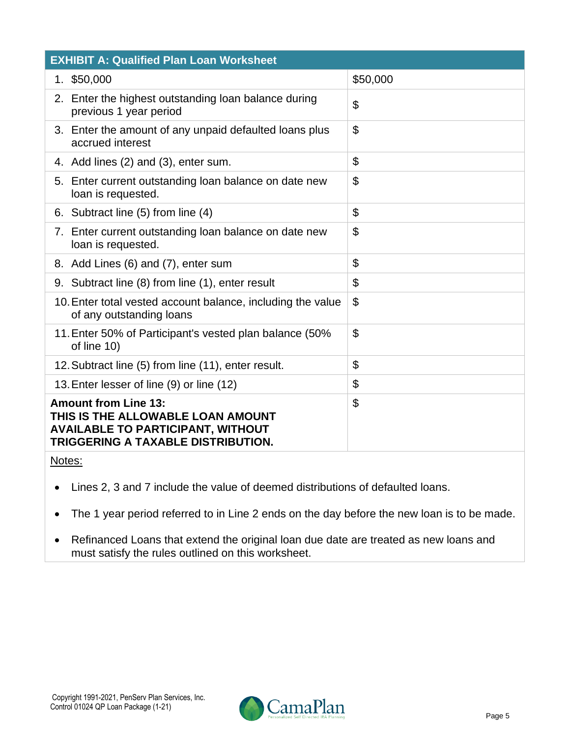| <b>EXHIBIT A: Qualified Plan Loan Worksheet</b>                                                                                                    |                           |  |  |  |  |
|----------------------------------------------------------------------------------------------------------------------------------------------------|---------------------------|--|--|--|--|
| 1. \$50,000                                                                                                                                        | \$50,000                  |  |  |  |  |
| 2. Enter the highest outstanding loan balance during<br>previous 1 year period                                                                     | \$                        |  |  |  |  |
| 3. Enter the amount of any unpaid defaulted loans plus<br>accrued interest                                                                         | \$                        |  |  |  |  |
| 4. Add lines (2) and (3), enter sum.                                                                                                               | \$                        |  |  |  |  |
| 5. Enter current outstanding loan balance on date new<br>loan is requested.                                                                        | \$                        |  |  |  |  |
| 6. Subtract line (5) from line (4)                                                                                                                 | $\boldsymbol{\mathsf{S}}$ |  |  |  |  |
| 7. Enter current outstanding loan balance on date new<br>loan is requested.                                                                        | $\boldsymbol{\mathsf{S}}$ |  |  |  |  |
| 8. Add Lines (6) and (7), enter sum                                                                                                                | \$                        |  |  |  |  |
| 9. Subtract line (8) from line (1), enter result                                                                                                   | \$                        |  |  |  |  |
| 10. Enter total vested account balance, including the value<br>of any outstanding loans                                                            | \$                        |  |  |  |  |
| 11. Enter 50% of Participant's vested plan balance (50%<br>of line 10)                                                                             | \$                        |  |  |  |  |
| 12. Subtract line (5) from line (11), enter result.                                                                                                | \$                        |  |  |  |  |
| 13. Enter lesser of line (9) or line (12)                                                                                                          | \$                        |  |  |  |  |
| <b>Amount from Line 13:</b><br>THIS IS THE ALLOWABLE LOAN AMOUNT<br><b>AVAILABLE TO PARTICIPANT, WITHOUT</b><br>TRIGGERING A TAXABLE DISTRIBUTION. | \$                        |  |  |  |  |

Notes:

- Lines 2, 3 and 7 include the value of deemed distributions of defaulted loans.
- The 1 year period referred to in Line 2 ends on the day before the new loan is to be made.
- Refinanced Loans that extend the original loan due date are treated as new loans and must satisfy the rules outlined on this worksheet.

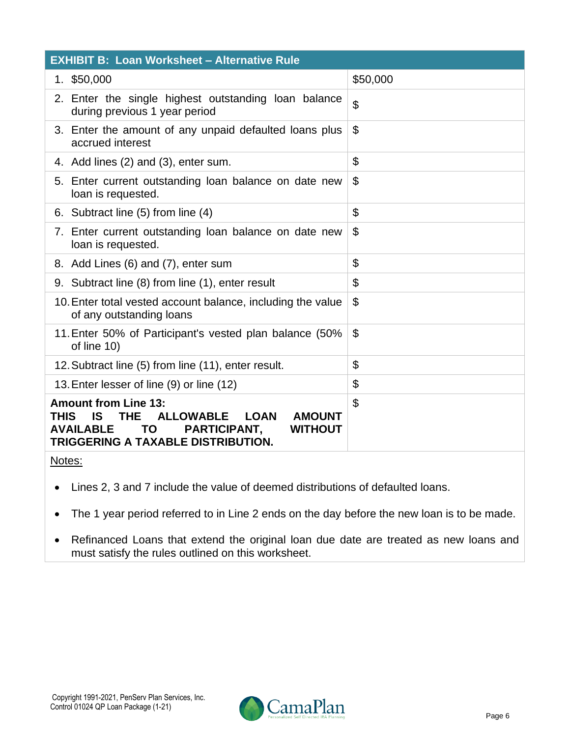| <b>EXHIBIT B: Loan Worksheet - Alternative Rule</b>                                                                                                                                                                                |                           |  |  |  |
|------------------------------------------------------------------------------------------------------------------------------------------------------------------------------------------------------------------------------------|---------------------------|--|--|--|
| 1. \$50,000                                                                                                                                                                                                                        | \$50,000                  |  |  |  |
| 2. Enter the single highest outstanding loan balance<br>during previous 1 year period                                                                                                                                              | $\boldsymbol{\mathsf{S}}$ |  |  |  |
| 3. Enter the amount of any unpaid defaulted loans plus<br>accrued interest                                                                                                                                                         | $\mathbf{\$}$             |  |  |  |
| 4. Add lines (2) and (3), enter sum.                                                                                                                                                                                               | \$                        |  |  |  |
| 5. Enter current outstanding loan balance on date new<br>loan is requested.                                                                                                                                                        | \$                        |  |  |  |
| 6. Subtract line (5) from line (4)                                                                                                                                                                                                 | $\boldsymbol{\mathsf{S}}$ |  |  |  |
| 7. Enter current outstanding loan balance on date new<br>loan is requested.                                                                                                                                                        | $\boldsymbol{\mathsf{S}}$ |  |  |  |
| 8. Add Lines (6) and (7), enter sum                                                                                                                                                                                                | \$                        |  |  |  |
| 9. Subtract line (8) from line (1), enter result                                                                                                                                                                                   | \$                        |  |  |  |
| 10. Enter total vested account balance, including the value<br>of any outstanding loans                                                                                                                                            | $\boldsymbol{\mathsf{S}}$ |  |  |  |
| 11. Enter 50% of Participant's vested plan balance (50%<br>of line 10)                                                                                                                                                             | $\boldsymbol{\mathsf{S}}$ |  |  |  |
| 12. Subtract line (5) from line (11), enter result.                                                                                                                                                                                | \$                        |  |  |  |
| 13. Enter lesser of line (9) or line (12)                                                                                                                                                                                          | \$                        |  |  |  |
| <b>Amount from Line 13:</b><br><b>THIS</b><br><b>THE</b><br><b>ALLOWABLE</b><br><b>LOAN</b><br><b>AMOUNT</b><br>IS<br><b>AVAILABLE</b><br>PARTICIPANT,<br><b>TO</b><br><b>WITHOUT</b><br><b>TRIGGERING A TAXABLE DISTRIBUTION.</b> | \$                        |  |  |  |

- Notes:
- Lines 2, 3 and 7 include the value of deemed distributions of defaulted loans.
- The 1 year period referred to in Line 2 ends on the day before the new loan is to be made.
- Refinanced Loans that extend the original loan due date are treated as new loans and must satisfy the rules outlined on this worksheet.

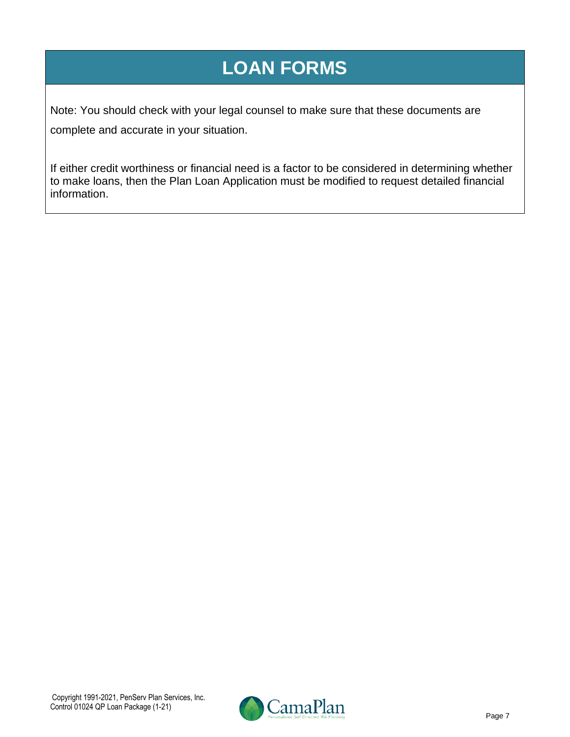## **LOAN FORMS**

Note: You should check with your legal counsel to make sure that these documents are complete and accurate in your situation.

If either credit worthiness or financial need is a factor to be considered in determining whether to make loans, then the Plan Loan Application must be modified to request detailed financial information.

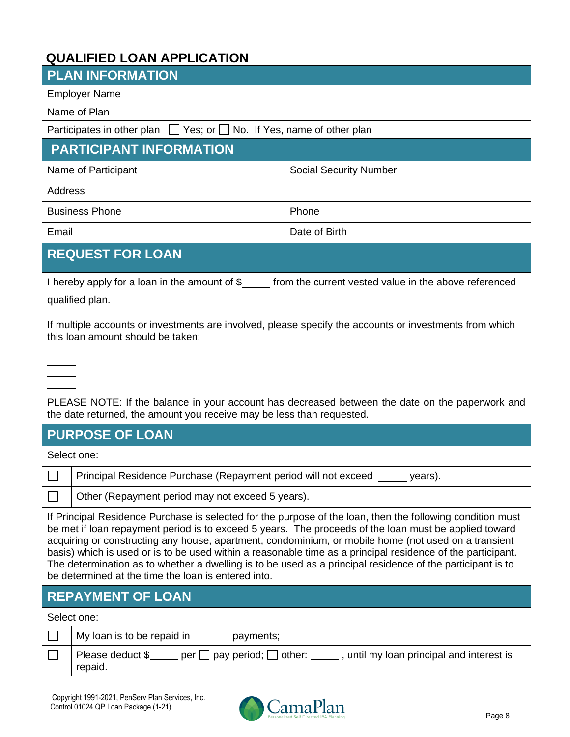## **QUALIFIED LOAN APPLICATION**

| <b>PLAN INFORMATION</b>                                                                                                                                                                                                                                                                                                                                                                                                                                                                                                                                                                                         |                                                                                                                                                                                                                                                                                                                                                                                                                        |                                                                                                           |  |  |
|-----------------------------------------------------------------------------------------------------------------------------------------------------------------------------------------------------------------------------------------------------------------------------------------------------------------------------------------------------------------------------------------------------------------------------------------------------------------------------------------------------------------------------------------------------------------------------------------------------------------|------------------------------------------------------------------------------------------------------------------------------------------------------------------------------------------------------------------------------------------------------------------------------------------------------------------------------------------------------------------------------------------------------------------------|-----------------------------------------------------------------------------------------------------------|--|--|
| <b>Employer Name</b>                                                                                                                                                                                                                                                                                                                                                                                                                                                                                                                                                                                            |                                                                                                                                                                                                                                                                                                                                                                                                                        |                                                                                                           |  |  |
|                                                                                                                                                                                                                                                                                                                                                                                                                                                                                                                                                                                                                 | Name of Plan                                                                                                                                                                                                                                                                                                                                                                                                           |                                                                                                           |  |  |
|                                                                                                                                                                                                                                                                                                                                                                                                                                                                                                                                                                                                                 | Participates in other plan $\Box$ Yes; or $\Box$ No. If Yes, name of other plan                                                                                                                                                                                                                                                                                                                                        |                                                                                                           |  |  |
|                                                                                                                                                                                                                                                                                                                                                                                                                                                                                                                                                                                                                 | <b>PARTICIPANT INFORMATION</b>                                                                                                                                                                                                                                                                                                                                                                                         |                                                                                                           |  |  |
|                                                                                                                                                                                                                                                                                                                                                                                                                                                                                                                                                                                                                 | Name of Participant<br><b>Social Security Number</b>                                                                                                                                                                                                                                                                                                                                                                   |                                                                                                           |  |  |
| Address                                                                                                                                                                                                                                                                                                                                                                                                                                                                                                                                                                                                         |                                                                                                                                                                                                                                                                                                                                                                                                                        |                                                                                                           |  |  |
|                                                                                                                                                                                                                                                                                                                                                                                                                                                                                                                                                                                                                 | <b>Business Phone</b>                                                                                                                                                                                                                                                                                                                                                                                                  | Phone                                                                                                     |  |  |
| Email                                                                                                                                                                                                                                                                                                                                                                                                                                                                                                                                                                                                           |                                                                                                                                                                                                                                                                                                                                                                                                                        | Date of Birth                                                                                             |  |  |
|                                                                                                                                                                                                                                                                                                                                                                                                                                                                                                                                                                                                                 | <b>REQUEST FOR LOAN</b>                                                                                                                                                                                                                                                                                                                                                                                                |                                                                                                           |  |  |
|                                                                                                                                                                                                                                                                                                                                                                                                                                                                                                                                                                                                                 | qualified plan.                                                                                                                                                                                                                                                                                                                                                                                                        | I hereby apply for a loan in the amount of \$______ from the current vested value in the above referenced |  |  |
| If multiple accounts or investments are involved, please specify the accounts or investments from which<br>this loan amount should be taken:                                                                                                                                                                                                                                                                                                                                                                                                                                                                    |                                                                                                                                                                                                                                                                                                                                                                                                                        |                                                                                                           |  |  |
|                                                                                                                                                                                                                                                                                                                                                                                                                                                                                                                                                                                                                 |                                                                                                                                                                                                                                                                                                                                                                                                                        |                                                                                                           |  |  |
| PLEASE NOTE: If the balance in your account has decreased between the date on the paperwork and<br>the date returned, the amount you receive may be less than requested.                                                                                                                                                                                                                                                                                                                                                                                                                                        |                                                                                                                                                                                                                                                                                                                                                                                                                        |                                                                                                           |  |  |
|                                                                                                                                                                                                                                                                                                                                                                                                                                                                                                                                                                                                                 | <b>PURPOSE OF LOAN</b>                                                                                                                                                                                                                                                                                                                                                                                                 |                                                                                                           |  |  |
|                                                                                                                                                                                                                                                                                                                                                                                                                                                                                                                                                                                                                 | Select one:                                                                                                                                                                                                                                                                                                                                                                                                            |                                                                                                           |  |  |
|                                                                                                                                                                                                                                                                                                                                                                                                                                                                                                                                                                                                                 | Principal Residence Purchase (Repayment period will not exceed                                                                                                                                                                                                                                                                                                                                                         | years).                                                                                                   |  |  |
|                                                                                                                                                                                                                                                                                                                                                                                                                                                                                                                                                                                                                 | Other (Repayment period may not exceed 5 years).                                                                                                                                                                                                                                                                                                                                                                       |                                                                                                           |  |  |
| If Principal Residence Purchase is selected for the purpose of the loan, then the following condition must<br>be met if loan repayment period is to exceed 5 years. The proceeds of the loan must be applied toward<br>acquiring or constructing any house, apartment, condominium, or mobile home (not used on a transient<br>basis) which is used or is to be used within a reasonable time as a principal residence of the participant.<br>The determination as to whether a dwelling is to be used as a principal residence of the participant is to<br>be determined at the time the loan is entered into. |                                                                                                                                                                                                                                                                                                                                                                                                                        |                                                                                                           |  |  |
| <b>REPAYMENT OF LOAN</b>                                                                                                                                                                                                                                                                                                                                                                                                                                                                                                                                                                                        |                                                                                                                                                                                                                                                                                                                                                                                                                        |                                                                                                           |  |  |
| Select one:                                                                                                                                                                                                                                                                                                                                                                                                                                                                                                                                                                                                     |                                                                                                                                                                                                                                                                                                                                                                                                                        |                                                                                                           |  |  |
|                                                                                                                                                                                                                                                                                                                                                                                                                                                                                                                                                                                                                 | My loan is to be repaid in $\frac{1}{\sqrt{1-\frac{1}{\sqrt{1-\frac{1}{\sqrt{1-\frac{1}{\sqrt{1-\frac{1}{\sqrt{1-\frac{1}{\sqrt{1-\frac{1}{\sqrt{1-\frac{1}{\sqrt{1-\frac{1}{\sqrt{1-\frac{1}{\sqrt{1-\frac{1}{\sqrt{1-\frac{1}{\sqrt{1-\frac{1}{\sqrt{1-\frac{1}{\sqrt{1-\frac{1}{\sqrt{1-\frac{1}{\sqrt{1-\frac{1}{\sqrt{1-\frac{1}{\sqrt{1-\frac{1}{\sqrt{1-\frac{1}{\sqrt{1-\frac{1}{\sqrt{1-\frac{1$<br>payments; |                                                                                                           |  |  |
|                                                                                                                                                                                                                                                                                                                                                                                                                                                                                                                                                                                                                 | Please deduct $\frac{1}{2}$ per $\Box$ pay period; $\Box$ other: ______, until my loan principal and interest is<br>repaid.                                                                                                                                                                                                                                                                                            |                                                                                                           |  |  |

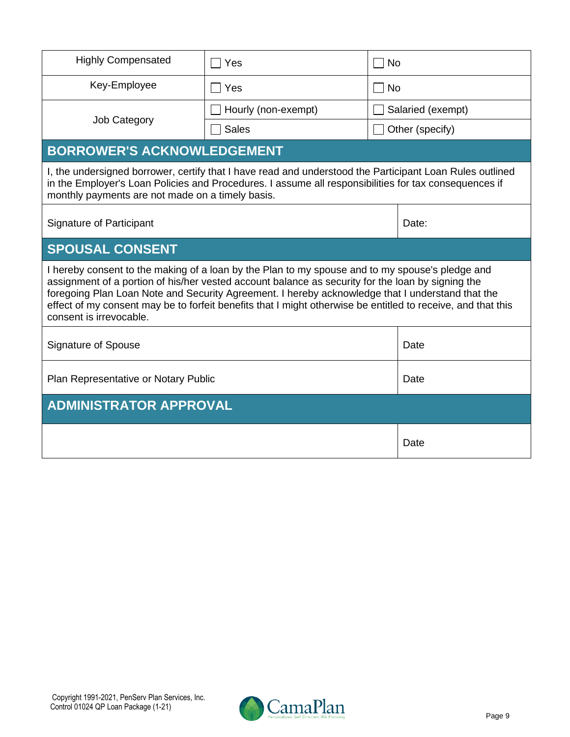| <b>Highly Compensated</b>                                                                                                                                                                                                                                                                                                                                                                                                                           | Yes                                                                                                                                                                                                               | <b>No</b>                   |      |  |
|-----------------------------------------------------------------------------------------------------------------------------------------------------------------------------------------------------------------------------------------------------------------------------------------------------------------------------------------------------------------------------------------------------------------------------------------------------|-------------------------------------------------------------------------------------------------------------------------------------------------------------------------------------------------------------------|-----------------------------|------|--|
| Key-Employee                                                                                                                                                                                                                                                                                                                                                                                                                                        | Yes                                                                                                                                                                                                               | <b>No</b><br>$\blacksquare$ |      |  |
|                                                                                                                                                                                                                                                                                                                                                                                                                                                     | Hourly (non-exempt)                                                                                                                                                                                               | Salaried (exempt)           |      |  |
| <b>Job Category</b>                                                                                                                                                                                                                                                                                                                                                                                                                                 | <b>Sales</b>                                                                                                                                                                                                      | Other (specify)             |      |  |
| <b>BORROWER'S ACKNOWLEDGEMENT</b>                                                                                                                                                                                                                                                                                                                                                                                                                   |                                                                                                                                                                                                                   |                             |      |  |
| monthly payments are not made on a timely basis.                                                                                                                                                                                                                                                                                                                                                                                                    | I, the undersigned borrower, certify that I have read and understood the Participant Loan Rules outlined<br>in the Employer's Loan Policies and Procedures. I assume all responsibilities for tax consequences if |                             |      |  |
| <b>Signature of Participant</b><br>Date:                                                                                                                                                                                                                                                                                                                                                                                                            |                                                                                                                                                                                                                   |                             |      |  |
| <b>SPOUSAL CONSENT</b>                                                                                                                                                                                                                                                                                                                                                                                                                              |                                                                                                                                                                                                                   |                             |      |  |
| I hereby consent to the making of a loan by the Plan to my spouse and to my spouse's pledge and<br>assignment of a portion of his/her vested account balance as security for the loan by signing the<br>foregoing Plan Loan Note and Security Agreement. I hereby acknowledge that I understand that the<br>effect of my consent may be to forfeit benefits that I might otherwise be entitled to receive, and that this<br>consent is irrevocable. |                                                                                                                                                                                                                   |                             |      |  |
| <b>Signature of Spouse</b>                                                                                                                                                                                                                                                                                                                                                                                                                          |                                                                                                                                                                                                                   |                             | Date |  |
| Plan Representative or Notary Public                                                                                                                                                                                                                                                                                                                                                                                                                |                                                                                                                                                                                                                   |                             | Date |  |
| <b>ADMINISTRATOR APPROVAL</b>                                                                                                                                                                                                                                                                                                                                                                                                                       |                                                                                                                                                                                                                   |                             |      |  |
|                                                                                                                                                                                                                                                                                                                                                                                                                                                     | Date                                                                                                                                                                                                              |                             |      |  |

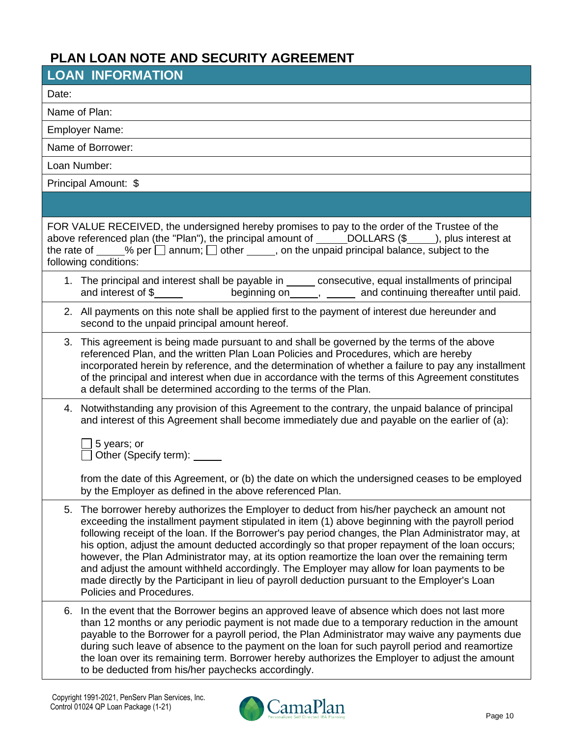## **PLAN LOAN NOTE AND SECURITY AGREEMENT**

| <b>LOAN INFORMATION</b>                                                                                                                                                                                                                                                                                                                                                                                                                                                                                                                                                                                                                                                                                                                    |  |
|--------------------------------------------------------------------------------------------------------------------------------------------------------------------------------------------------------------------------------------------------------------------------------------------------------------------------------------------------------------------------------------------------------------------------------------------------------------------------------------------------------------------------------------------------------------------------------------------------------------------------------------------------------------------------------------------------------------------------------------------|--|
| Date:                                                                                                                                                                                                                                                                                                                                                                                                                                                                                                                                                                                                                                                                                                                                      |  |
| Name of Plan:                                                                                                                                                                                                                                                                                                                                                                                                                                                                                                                                                                                                                                                                                                                              |  |
| <b>Employer Name:</b>                                                                                                                                                                                                                                                                                                                                                                                                                                                                                                                                                                                                                                                                                                                      |  |
| Name of Borrower:                                                                                                                                                                                                                                                                                                                                                                                                                                                                                                                                                                                                                                                                                                                          |  |
| Loan Number:                                                                                                                                                                                                                                                                                                                                                                                                                                                                                                                                                                                                                                                                                                                               |  |
| Principal Amount: \$                                                                                                                                                                                                                                                                                                                                                                                                                                                                                                                                                                                                                                                                                                                       |  |
|                                                                                                                                                                                                                                                                                                                                                                                                                                                                                                                                                                                                                                                                                                                                            |  |
| FOR VALUE RECEIVED, the undersigned hereby promises to pay to the order of the Trustee of the<br>above referenced plan (the "Plan"), the principal amount of ______DOLLARS (\$____), plus interest at<br>the rate of $\_\_\_\%$ per $\_\$ annum; $\_\$ other $\_\_\_\$ , on the unpaid principal balance, subject to the<br>following conditions:                                                                                                                                                                                                                                                                                                                                                                                          |  |
| 1. The principal and interest shall be payable in _____ consecutive, equal installments of principal                                                                                                                                                                                                                                                                                                                                                                                                                                                                                                                                                                                                                                       |  |
| 2. All payments on this note shall be applied first to the payment of interest due hereunder and<br>second to the unpaid principal amount hereof.                                                                                                                                                                                                                                                                                                                                                                                                                                                                                                                                                                                          |  |
| 3. This agreement is being made pursuant to and shall be governed by the terms of the above<br>referenced Plan, and the written Plan Loan Policies and Procedures, which are hereby<br>incorporated herein by reference, and the determination of whether a failure to pay any installment<br>of the principal and interest when due in accordance with the terms of this Agreement constitutes<br>a default shall be determined according to the terms of the Plan.                                                                                                                                                                                                                                                                       |  |
| 4. Notwithstanding any provision of this Agreement to the contrary, the unpaid balance of principal<br>and interest of this Agreement shall become immediately due and payable on the earlier of (a):<br>5 years; or<br>Other (Specify term): _____                                                                                                                                                                                                                                                                                                                                                                                                                                                                                        |  |
| from the date of this Agreement, or (b) the date on which the undersigned ceases to be employed<br>by the Employer as defined in the above referenced Plan.                                                                                                                                                                                                                                                                                                                                                                                                                                                                                                                                                                                |  |
| The borrower hereby authorizes the Employer to deduct from his/her paycheck an amount not<br>5.<br>exceeding the installment payment stipulated in item (1) above beginning with the payroll period<br>following receipt of the loan. If the Borrower's pay period changes, the Plan Administrator may, at<br>his option, adjust the amount deducted accordingly so that proper repayment of the loan occurs;<br>however, the Plan Administrator may, at its option reamortize the loan over the remaining term<br>and adjust the amount withheld accordingly. The Employer may allow for loan payments to be<br>made directly by the Participant in lieu of payroll deduction pursuant to the Employer's Loan<br>Policies and Procedures. |  |
| In the event that the Borrower begins an approved leave of absence which does not last more<br>6.<br>than 12 months or any periodic payment is not made due to a temporary reduction in the amount<br>payable to the Borrower for a payroll period, the Plan Administrator may waive any payments due<br>during such leave of absence to the payment on the loan for such payroll period and reamortize<br>the loan over its remaining term. Borrower hereby authorizes the Employer to adjust the amount<br>to be deducted from his/her paychecks accordingly.                                                                                                                                                                            |  |

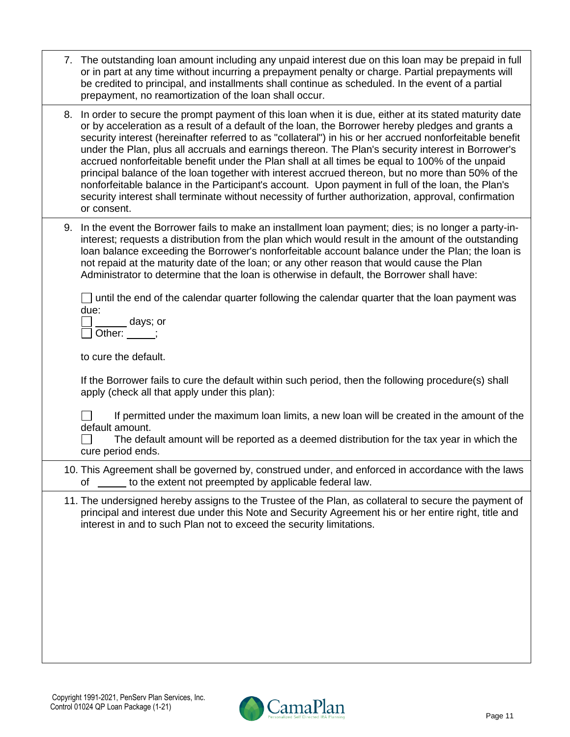| 7. The outstanding loan amount including any unpaid interest due on this loan may be prepaid in full |
|------------------------------------------------------------------------------------------------------|
| or in part at any time without incurring a prepayment penalty or charge. Partial prepayments will    |
| be credited to principal, and installments shall continue as scheduled. In the event of a partial    |
| prepayment, no reamortization of the loan shall occur.                                               |

- 8. In order to secure the prompt payment of this loan when it is due, either at its stated maturity date or by acceleration as a result of a default of the loan, the Borrower hereby pledges and grants a security interest (hereinafter referred to as "collateral") in his or her accrued nonforfeitable benefit under the Plan, plus all accruals and earnings thereon. The Plan's security interest in Borrower's accrued nonforfeitable benefit under the Plan shall at all times be equal to 100% of the unpaid principal balance of the loan together with interest accrued thereon, but no more than 50% of the nonforfeitable balance in the Participant's account. Upon payment in full of the loan, the Plan's security interest shall terminate without necessity of further authorization, approval, confirmation or consent.
- 9. In the event the Borrower fails to make an installment loan payment; dies; is no longer a party-ininterest; requests a distribution from the plan which would result in the amount of the outstanding loan balance exceeding the Borrower's nonforfeitable account balance under the Plan; the loan is not repaid at the maturity date of the loan; or any other reason that would cause the Plan Administrator to determine that the loan is otherwise in default, the Borrower shall have:

 $\Box$  until the end of the calendar quarter following the calendar quarter that the loan payment was due:

days; or  $\Box$  Other:  $\qquad$  ;

to cure the default.

If the Borrower fails to cure the default within such period, then the following procedure(s) shall apply (check all that apply under this plan):

 $\Box$ If permitted under the maximum loan limits, a new loan will be created in the amount of the default amount.

 $\Box$ The default amount will be reported as a deemed distribution for the tax year in which the cure period ends.

10. This Agreement shall be governed by, construed under, and enforced in accordance with the laws of to the extent not preempted by applicable federal law.

11. The undersigned hereby assigns to the Trustee of the Plan, as collateral to secure the payment of principal and interest due under this Note and Security Agreement his or her entire right, title and interest in and to such Plan not to exceed the security limitations.